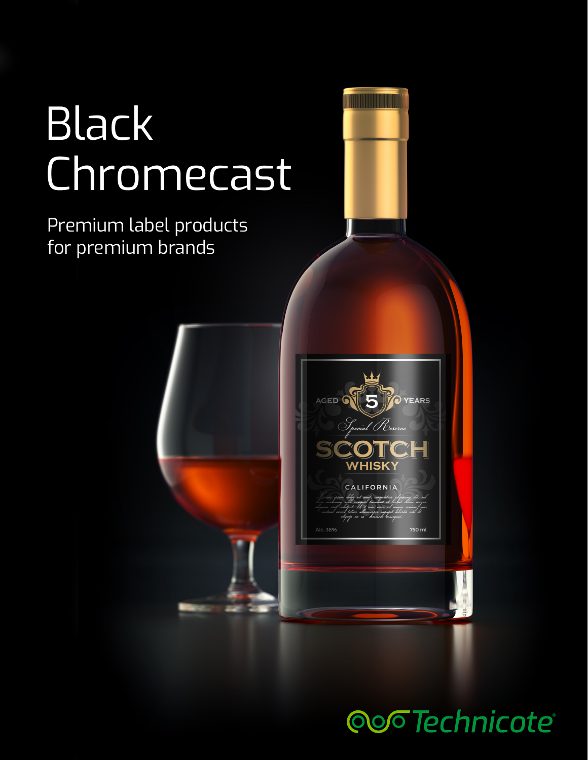# Black Chromecast

Premium label products for premium brands